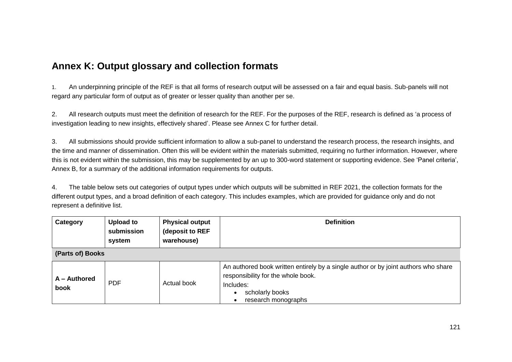## **Annex K: Output glossary and collection formats**

1. An underpinning principle of the REF is that all forms of research output will be assessed on a fair and equal basis. Sub-panels will not regard any particular form of output as of greater or lesser quality than another per se.

2. All research outputs must meet the definition of research for the REF. For the purposes of the REF, research is defined as 'a process of investigation leading to new insights, effectively shared'. Please see Annex C for further detail.

3. All submissions should provide sufficient information to allow a sub-panel to understand the research process, the research insights, and the time and manner of dissemination. Often this will be evident within the materials submitted, requiring no further information. However, where this is not evident within the submission, this may be supplemented by an up to 300-word statement or supporting evidence. See 'Panel criteria', Annex B, for a summary of the additional information requirements for outputs.

4. The table below sets out categories of output types under which outputs will be submitted in REF 2021, the collection formats for the different output types, and a broad definition of each category. This includes examples, which are provided for guidance only and do not represent a definitive list.

| Category             | Upload to<br>submission<br>system | <b>Physical output</b><br>(deposit to REF<br>warehouse) | <b>Definition</b>                                                                                                                                                               |
|----------------------|-----------------------------------|---------------------------------------------------------|---------------------------------------------------------------------------------------------------------------------------------------------------------------------------------|
| (Parts of) Books     |                                   |                                                         |                                                                                                                                                                                 |
| A - Authored<br>book | <b>PDF</b>                        | Actual book                                             | An authored book written entirely by a single author or by joint authors who share<br>responsibility for the whole book.<br>Includes:<br>scholarly books<br>research monographs |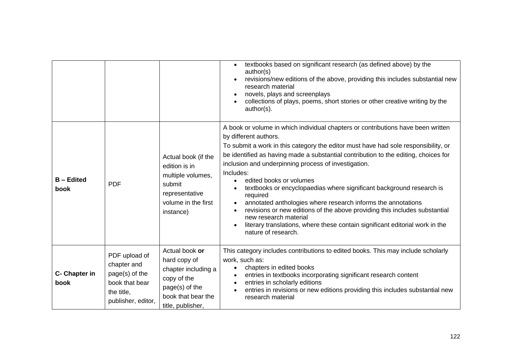|                         |                                                                                                      |                                                                                                                                   | textbooks based on significant research (as defined above) by the<br>$\bullet$<br>author(s)<br>revisions/new editions of the above, providing this includes substantial new<br>research material<br>novels, plays and screenplays<br>collections of plays, poems, short stories or other creative writing by the<br>author(s).                                                                                                                                                                                                                                                                                                                                                                                                                           |
|-------------------------|------------------------------------------------------------------------------------------------------|-----------------------------------------------------------------------------------------------------------------------------------|----------------------------------------------------------------------------------------------------------------------------------------------------------------------------------------------------------------------------------------------------------------------------------------------------------------------------------------------------------------------------------------------------------------------------------------------------------------------------------------------------------------------------------------------------------------------------------------------------------------------------------------------------------------------------------------------------------------------------------------------------------|
| <b>B-Edited</b><br>book | <b>PDF</b>                                                                                           | Actual book (if the<br>edition is in<br>multiple volumes,<br>submit<br>representative<br>volume in the first<br>instance)         | A book or volume in which individual chapters or contributions have been written<br>by different authors.<br>To submit a work in this category the editor must have had sole responsibility, or<br>be identified as having made a substantial contribution to the editing, choices for<br>inclusion and underpinning process of investigation.<br>Includes:<br>edited books or volumes<br>textbooks or encyclopaedias where significant background research is<br>required<br>annotated anthologies where research informs the annotations<br>revisions or new editions of the above providing this includes substantial<br>new research material<br>literary translations, where these contain significant editorial work in the<br>nature of research. |
| C- Chapter in<br>book   | PDF upload of<br>chapter and<br>page(s) of the<br>book that bear<br>the title,<br>publisher, editor, | Actual book or<br>hard copy of<br>chapter including a<br>copy of the<br>page(s) of the<br>book that bear the<br>title, publisher, | This category includes contributions to edited books. This may include scholarly<br>work, such as:<br>chapters in edited books<br>entries in textbooks incorporating significant research content<br>entries in scholarly editions<br>entries in revisions or new editions providing this includes substantial new<br>research material                                                                                                                                                                                                                                                                                                                                                                                                                  |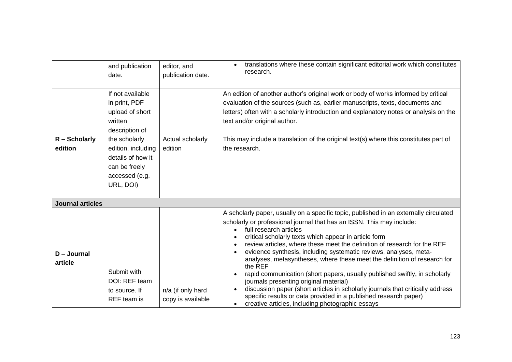|                          | and publication<br>date.                                                                                                                                                                      | editor, and<br>publication date.       | translations where these contain significant editorial work which constitutes<br>research.                                                                                                                                                                                                                                                                                                                                                                                                                                                                                                                                                                                                                                                                                                                                  |
|--------------------------|-----------------------------------------------------------------------------------------------------------------------------------------------------------------------------------------------|----------------------------------------|-----------------------------------------------------------------------------------------------------------------------------------------------------------------------------------------------------------------------------------------------------------------------------------------------------------------------------------------------------------------------------------------------------------------------------------------------------------------------------------------------------------------------------------------------------------------------------------------------------------------------------------------------------------------------------------------------------------------------------------------------------------------------------------------------------------------------------|
| R - Scholarly<br>edition | If not available<br>in print, PDF<br>upload of short<br>written<br>description of<br>the scholarly<br>edition, including<br>details of how it<br>can be freely<br>accessed (e.g.<br>URL, DOI) | Actual scholarly<br>edition            | An edition of another author's original work or body of works informed by critical<br>evaluation of the sources (such as, earlier manuscripts, texts, documents and<br>letters) often with a scholarly introduction and explanatory notes or analysis on the<br>text and/or original author.<br>This may include a translation of the original text(s) where this constitutes part of<br>the research.                                                                                                                                                                                                                                                                                                                                                                                                                      |
| <b>Journal articles</b>  |                                                                                                                                                                                               |                                        |                                                                                                                                                                                                                                                                                                                                                                                                                                                                                                                                                                                                                                                                                                                                                                                                                             |
| $D - Journal$<br>article | Submit with<br>DOI: REF team<br>to source. If<br>REF team is                                                                                                                                  | n/a (if only hard<br>copy is available | A scholarly paper, usually on a specific topic, published in an externally circulated<br>scholarly or professional journal that has an ISSN. This may include:<br>full research articles<br>critical scholarly texts which appear in article form<br>review articles, where these meet the definition of research for the REF<br>evidence synthesis, including systematic reviews, analyses, meta-<br>analyses, metasyntheses, where these meet the definition of research for<br>the REF<br>rapid communication (short papers, usually published swiftly, in scholarly<br>journals presenting original material)<br>discussion paper (short articles in scholarly journals that critically address<br>specific results or data provided in a published research paper)<br>creative articles, including photographic essays |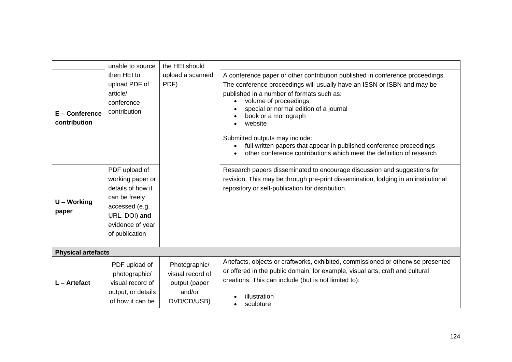|                                  | unable to source                                                                                                                                 | the HEI should                                                              |                                                                                                                                                                                                                                                                                                                                                                                                                                                                                             |
|----------------------------------|--------------------------------------------------------------------------------------------------------------------------------------------------|-----------------------------------------------------------------------------|---------------------------------------------------------------------------------------------------------------------------------------------------------------------------------------------------------------------------------------------------------------------------------------------------------------------------------------------------------------------------------------------------------------------------------------------------------------------------------------------|
| $E -$ Conference<br>contribution | then HEI to<br>upload PDF of<br>article/<br>conference<br>contribution                                                                           | upload a scanned<br>PDF)                                                    | A conference paper or other contribution published in conference proceedings.<br>The conference proceedings will usually have an ISSN or ISBN and may be<br>published in a number of formats such as:<br>volume of proceedings<br>special or normal edition of a journal<br>book or a monograph<br>website<br>Submitted outputs may include:<br>full written papers that appear in published conference proceedings<br>other conference contributions which meet the definition of research |
| U - Working<br>paper             | PDF upload of<br>working paper or<br>details of how it<br>can be freely<br>accessed (e.g.<br>URL, DOI) and<br>evidence of year<br>of publication |                                                                             | Research papers disseminated to encourage discussion and suggestions for<br>revision. This may be through pre-print dissemination, lodging in an institutional<br>repository or self-publication for distribution.                                                                                                                                                                                                                                                                          |
| <b>Physical artefacts</b>        |                                                                                                                                                  |                                                                             |                                                                                                                                                                                                                                                                                                                                                                                                                                                                                             |
| $L -$ Artefact                   | PDF upload of<br>photographic/<br>visual record of<br>output, or details<br>of how it can be                                                     | Photographic/<br>visual record of<br>output (paper<br>and/or<br>DVD/CD/USB) | Artefacts, objects or craftworks, exhibited, commissioned or otherwise presented<br>or offered in the public domain, for example, visual arts, craft and cultural<br>creations. This can include (but is not limited to):<br>illustration<br>sculpture                                                                                                                                                                                                                                      |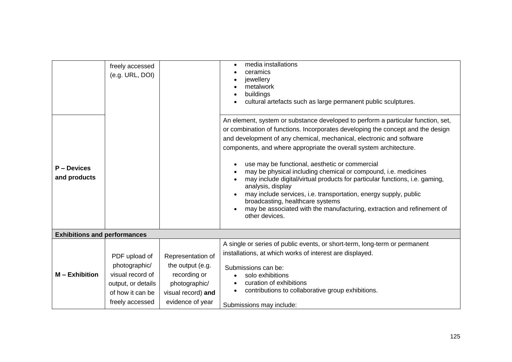|                                     | freely accessed<br>(e.g. URL, DOI)                                                                              |                                                                                                                  | media installations<br>ceramics<br>jewellery<br>metalwork<br>buildings<br>cultural artefacts such as large permanent public sculptures.                                                                                                                                                                                                                                                                                                                                                                                                                                                                                                                                                                                                       |
|-------------------------------------|-----------------------------------------------------------------------------------------------------------------|------------------------------------------------------------------------------------------------------------------|-----------------------------------------------------------------------------------------------------------------------------------------------------------------------------------------------------------------------------------------------------------------------------------------------------------------------------------------------------------------------------------------------------------------------------------------------------------------------------------------------------------------------------------------------------------------------------------------------------------------------------------------------------------------------------------------------------------------------------------------------|
| P – Devices<br>and products         |                                                                                                                 |                                                                                                                  | An element, system or substance developed to perform a particular function, set,<br>or combination of functions. Incorporates developing the concept and the design<br>and development of any chemical, mechanical, electronic and software<br>components, and where appropriate the overall system architecture.<br>use may be functional, aesthetic or commercial<br>may be physical including chemical or compound, i.e. medicines<br>may include digital/virtual products for particular functions, i.e. gaming,<br>analysis, display<br>may include services, i.e. transportation, energy supply, public<br>broadcasting, healthcare systems<br>may be associated with the manufacturing, extraction and refinement of<br>other devices. |
| <b>Exhibitions and performances</b> |                                                                                                                 |                                                                                                                  |                                                                                                                                                                                                                                                                                                                                                                                                                                                                                                                                                                                                                                                                                                                                               |
| $M -$ Exhibition                    | PDF upload of<br>photographic/<br>visual record of<br>output, or details<br>of how it can be<br>freely accessed | Representation of<br>the output (e.g.<br>recording or<br>photographic/<br>visual record) and<br>evidence of year | A single or series of public events, or short-term, long-term or permanent<br>installations, at which works of interest are displayed.<br>Submissions can be:<br>solo exhibitions<br>curation of exhibitions<br>$\bullet$<br>contributions to collaborative group exhibitions.<br>Submissions may include:                                                                                                                                                                                                                                                                                                                                                                                                                                    |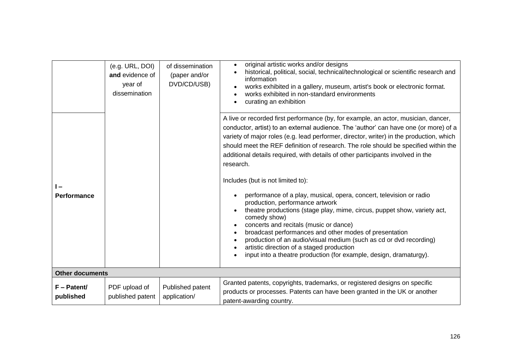|                            | (e.g. URL, DOI)<br>and evidence of<br>year of<br>dissemination | of dissemination<br>(paper and/or<br>DVD/CD/USB) | original artistic works and/or designs<br>historical, political, social, technical/technological or scientific research and<br>information<br>works exhibited in a gallery, museum, artist's book or electronic format.<br>works exhibited in non-standard environments<br>curating an exhibition                                                                                                                                                                                                                                                                                                                                                                                                                                                                                                                                                                                                                                                                                                    |
|----------------------------|----------------------------------------------------------------|--------------------------------------------------|------------------------------------------------------------------------------------------------------------------------------------------------------------------------------------------------------------------------------------------------------------------------------------------------------------------------------------------------------------------------------------------------------------------------------------------------------------------------------------------------------------------------------------------------------------------------------------------------------------------------------------------------------------------------------------------------------------------------------------------------------------------------------------------------------------------------------------------------------------------------------------------------------------------------------------------------------------------------------------------------------|
| <b>Performance</b>         |                                                                |                                                  | A live or recorded first performance (by, for example, an actor, musician, dancer,<br>conductor, artist) to an external audience. The 'author' can have one (or more) of a<br>variety of major roles (e.g. lead performer, director, writer) in the production, which<br>should meet the REF definition of research. The role should be specified within the<br>additional details required, with details of other participants involved in the<br>research.<br>Includes (but is not limited to):<br>performance of a play, musical, opera, concert, television or radio<br>production, performance artwork<br>theatre productions (stage play, mime, circus, puppet show, variety act,<br>comedy show)<br>concerts and recitals (music or dance)<br>broadcast performances and other modes of presentation<br>production of an audio/visual medium (such as cd or dvd recording)<br>artistic direction of a staged production<br>input into a theatre production (for example, design, dramaturgy). |
| <b>Other documents</b>     |                                                                |                                                  |                                                                                                                                                                                                                                                                                                                                                                                                                                                                                                                                                                                                                                                                                                                                                                                                                                                                                                                                                                                                      |
| $F -$ Patent/<br>published | PDF upload of<br>published patent                              | Published patent<br>application/                 | Granted patents, copyrights, trademarks, or registered designs on specific<br>products or processes. Patents can have been granted in the UK or another<br>patent-awarding country.                                                                                                                                                                                                                                                                                                                                                                                                                                                                                                                                                                                                                                                                                                                                                                                                                  |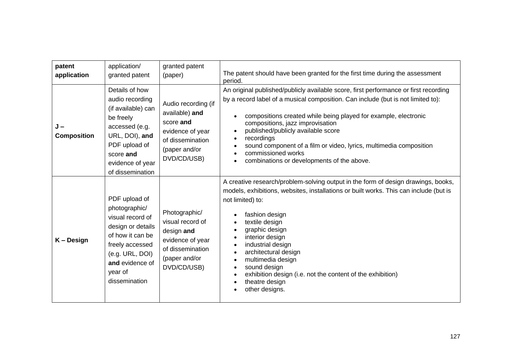| patent<br>application     | application/<br>granted patent                                                                                                                                                   | granted patent<br>(paper)                                                                                                  | The patent should have been granted for the first time during the assessment<br>period.                                                                                                                                                                                                                                                                                                                                                                                                                                                   |
|---------------------------|----------------------------------------------------------------------------------------------------------------------------------------------------------------------------------|----------------------------------------------------------------------------------------------------------------------------|-------------------------------------------------------------------------------------------------------------------------------------------------------------------------------------------------------------------------------------------------------------------------------------------------------------------------------------------------------------------------------------------------------------------------------------------------------------------------------------------------------------------------------------------|
| J –<br><b>Composition</b> | Details of how<br>audio recording<br>(if available) can<br>be freely<br>accessed (e.g.<br>URL, DOI), and<br>PDF upload of<br>score and<br>evidence of year<br>of dissemination   | Audio recording (if<br>available) and<br>score and<br>evidence of year<br>of dissemination<br>(paper and/or<br>DVD/CD/USB) | An original published/publicly available score, first performance or first recording<br>by a record label of a musical composition. Can include (but is not limited to):<br>compositions created while being played for example, electronic<br>$\bullet$<br>compositions, jazz improvisation<br>published/publicly available score<br>$\bullet$<br>recordings<br>$\bullet$<br>sound component of a film or video, lyrics, multimedia composition<br>$\bullet$<br>commissioned works<br>combinations or developments of the above.         |
| K-Design                  | PDF upload of<br>photographic/<br>visual record of<br>design or details<br>of how it can be<br>freely accessed<br>(e.g. URL, DOI)<br>and evidence of<br>year of<br>dissemination | Photographic/<br>visual record of<br>design and<br>evidence of year<br>of dissemination<br>(paper and/or<br>DVD/CD/USB)    | A creative research/problem-solving output in the form of design drawings, books,<br>models, exhibitions, websites, installations or built works. This can include (but is<br>not limited) to:<br>fashion design<br>textile design<br>graphic design<br>interior design<br>$\bullet$<br>industrial design<br>$\bullet$<br>architectural design<br>$\bullet$<br>multimedia design<br>$\bullet$<br>sound design<br>$\bullet$<br>exhibition design (i.e. not the content of the exhibition)<br>$\bullet$<br>theatre design<br>other designs. |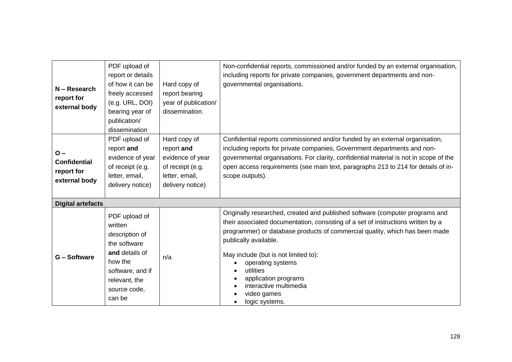| $N - Research$<br>report for<br>external body               | PDF upload of<br>report or details<br>of how it can be<br>freely accessed<br>(e.g. URL, DOI)<br>bearing year of<br>publication/<br>dissemination       | Hard copy of<br>report bearing<br>year of publication/<br>dissemination.                                 | Non-confidential reports, commissioned and/or funded by an external organisation,<br>including reports for private companies, government departments and non-<br>governmental organisations.                                                                                                                                                                                                                                          |
|-------------------------------------------------------------|--------------------------------------------------------------------------------------------------------------------------------------------------------|----------------------------------------------------------------------------------------------------------|---------------------------------------------------------------------------------------------------------------------------------------------------------------------------------------------------------------------------------------------------------------------------------------------------------------------------------------------------------------------------------------------------------------------------------------|
| $O -$<br><b>Confidential</b><br>report for<br>external body | PDF upload of<br>report and<br>evidence of year<br>of receipt (e.g.<br>letter, email,<br>delivery notice)                                              | Hard copy of<br>report and<br>evidence of year<br>of receipt (e.g.<br>letter, email,<br>delivery notice) | Confidential reports commissioned and/or funded by an external organisation,<br>including reports for private companies, Government departments and non-<br>governmental organisations. For clarity, confidential material is not in scope of the<br>open access requirements (see main text, paragraphs 213 to 214 for details of in-<br>scope outputs).                                                                             |
| <b>Digital artefacts</b>                                    |                                                                                                                                                        |                                                                                                          |                                                                                                                                                                                                                                                                                                                                                                                                                                       |
| G - Software                                                | PDF upload of<br>written<br>description of<br>the software<br>and details of<br>how the<br>software, and if<br>relevant, the<br>source code,<br>can be | n/a                                                                                                      | Originally researched, created and published software (computer programs and<br>their associated documentation, consisting of a set of instructions written by a<br>programmer) or database products of commercial quality, which has been made<br>publically available.<br>May include (but is not limited to):<br>operating systems<br>utilities<br>application programs<br>interactive multimedia<br>video games<br>logic systems. |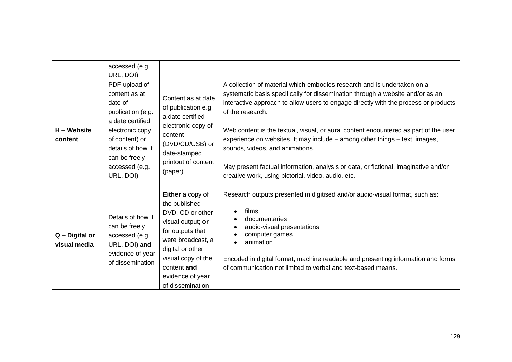| H – Website<br>content         | accessed (e.g.<br>URL, DOI)<br>PDF upload of<br>content as at<br>date of<br>publication (e.g.<br>a date certified<br>electronic copy<br>of content) or<br>details of how it<br>can be freely<br>accessed (e.g.<br>URL, DOI) | Content as at date<br>of publication e.g.<br>a date certified<br>electronic copy of<br>content<br>(DVD/CD/USB) or<br>date-stamped<br>printout of content<br>(paper)                                                  | A collection of material which embodies research and is undertaken on a<br>systematic basis specifically for dissemination through a website and/or as an<br>interactive approach to allow users to engage directly with the process or products<br>of the research.<br>Web content is the textual, visual, or aural content encountered as part of the user<br>experience on websites. It may include – among other things – text, images,<br>sounds, videos, and animations.<br>May present factual information, analysis or data, or fictional, imaginative and/or<br>creative work, using pictorial, video, audio, etc. |
|--------------------------------|-----------------------------------------------------------------------------------------------------------------------------------------------------------------------------------------------------------------------------|----------------------------------------------------------------------------------------------------------------------------------------------------------------------------------------------------------------------|-----------------------------------------------------------------------------------------------------------------------------------------------------------------------------------------------------------------------------------------------------------------------------------------------------------------------------------------------------------------------------------------------------------------------------------------------------------------------------------------------------------------------------------------------------------------------------------------------------------------------------|
| Q - Digital or<br>visual media | Details of how it<br>can be freely<br>accessed (e.g.<br>URL, DOI) and<br>evidence of year<br>of dissemination                                                                                                               | Either a copy of<br>the published<br>DVD, CD or other<br>visual output; or<br>for outputs that<br>were broadcast, a<br>digital or other<br>visual copy of the<br>content and<br>evidence of year<br>of dissemination | Research outputs presented in digitised and/or audio-visual format, such as:<br>films<br>documentaries<br>audio-visual presentations<br>computer games<br>animation<br>Encoded in digital format, machine readable and presenting information and forms<br>of communication not limited to verbal and text-based means.                                                                                                                                                                                                                                                                                                     |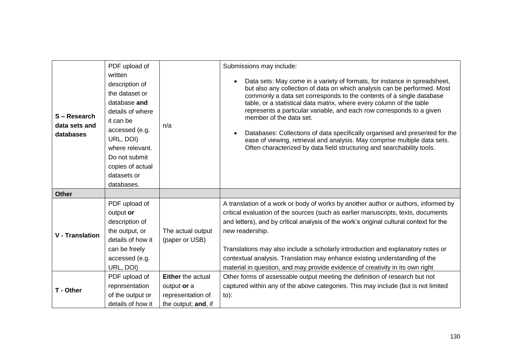|                                          | PDF upload of                                                                                                                                                                                                    |                                                                                     | Submissions may include:                                                                                                                                                                                                                                                                                                                                                                                                                                                                                                                                                                                                                                                  |
|------------------------------------------|------------------------------------------------------------------------------------------------------------------------------------------------------------------------------------------------------------------|-------------------------------------------------------------------------------------|---------------------------------------------------------------------------------------------------------------------------------------------------------------------------------------------------------------------------------------------------------------------------------------------------------------------------------------------------------------------------------------------------------------------------------------------------------------------------------------------------------------------------------------------------------------------------------------------------------------------------------------------------------------------------|
| S-Research<br>data sets and<br>databases | written<br>description of<br>the dataset or<br>database and<br>details of where<br>it can be<br>accessed (e.g.<br>URL, DOI)<br>where relevant.<br>Do not submit<br>copies of actual<br>datasets or<br>databases. | n/a                                                                                 | Data sets: May come in a variety of formats, for instance in spreadsheet,<br>$\bullet$<br>but also any collection of data on which analysis can be performed. Most<br>commonly a data set corresponds to the contents of a single database<br>table, or a statistical data matrix, where every column of the table<br>represents a particular variable, and each row corresponds to a given<br>member of the data set.<br>Databases: Collections of data specifically organised and presented for the<br>$\bullet$<br>ease of viewing, retrieval and analysis. May comprise multiple data sets.<br>Often characterized by data field structuring and searchability tools. |
| <b>Other</b>                             |                                                                                                                                                                                                                  |                                                                                     |                                                                                                                                                                                                                                                                                                                                                                                                                                                                                                                                                                                                                                                                           |
| <b>V</b> - Translation                   | PDF upload of<br>output or<br>description of<br>the output, or<br>details of how it<br>can be freely                                                                                                             | The actual output<br>(paper or USB)                                                 | A translation of a work or body of works by another author or authors, informed by<br>critical evaluation of the sources (such as earlier manuscripts, texts, documents<br>and letters), and by critical analysis of the work's original cultural context for the<br>new readership.<br>Translations may also include a scholarly introduction and explanatory notes or                                                                                                                                                                                                                                                                                                   |
|                                          | accessed (e.g.<br>URL, DOI)                                                                                                                                                                                      |                                                                                     | contextual analysis. Translation may enhance existing understanding of the<br>material in question, and may provide evidence of creativity in its own right                                                                                                                                                                                                                                                                                                                                                                                                                                                                                                               |
| T - Other                                | PDF upload of<br>representation<br>of the output or<br>details of how it                                                                                                                                         | <b>Either</b> the actual<br>output or a<br>representation of<br>the output; and, if | Other forms of assessable output meeting the definition of research but not<br>captured within any of the above categories. This may include (but is not limited<br>$to)$ :                                                                                                                                                                                                                                                                                                                                                                                                                                                                                               |